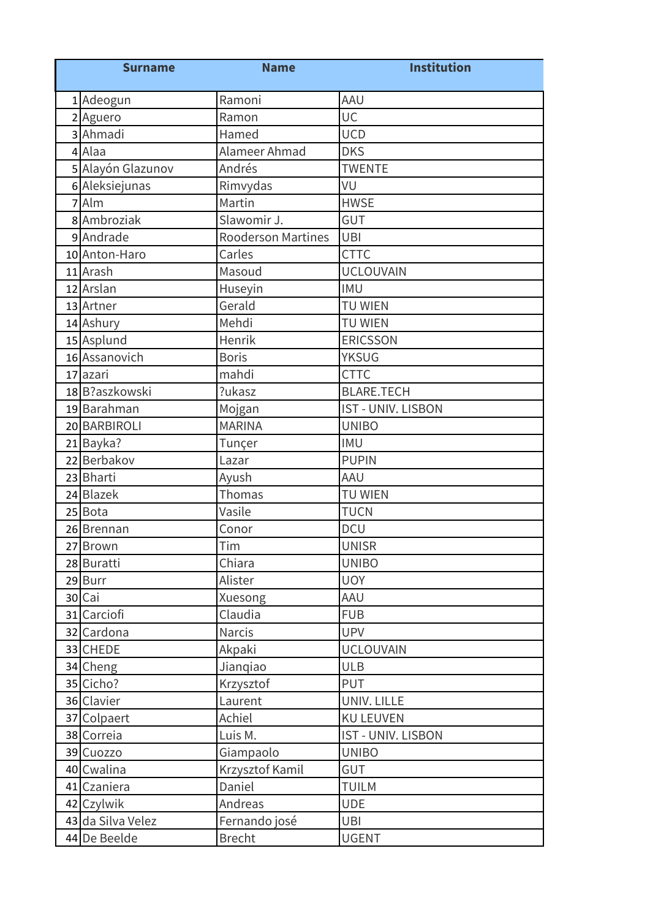| <b>Surname</b>    | <b>Name</b>               | <b>Institution</b>        |
|-------------------|---------------------------|---------------------------|
| 1 Adeogun         | Ramoni                    | AAU                       |
| 2 Aguero          | Ramon                     | UC                        |
| 3 Ahmadi          | Hamed                     | <b>UCD</b>                |
| 4 Alaa            | Alameer Ahmad             | <b>DKS</b>                |
| 5 Alayón Glazunov | Andrés                    | <b>TWENTE</b>             |
| 6 Aleksiejunas    | Rimvydas                  | VU                        |
| 7 Alm             | Martin                    | <b>HWSE</b>               |
| 8 Ambroziak       | Slawomir J.               | <b>GUT</b>                |
| 9 Andrade         | <b>Rooderson Martines</b> | <b>UBI</b>                |
| 10 Anton-Haro     | Carles                    | <b>CTTC</b>               |
| 11 Arash          | Masoud                    | <b>UCLOUVAIN</b>          |
| 12 Arslan         | Huseyin                   | <b>IMU</b>                |
| 13 Artner         | Gerald                    | <b>TU WIEN</b>            |
| 14 Ashury         | Mehdi                     | <b>TU WIEN</b>            |
| 15 Asplund        | <b>Henrik</b>             | <b>ERICSSON</b>           |
| 16 Assanovich     | <b>Boris</b>              | <b>YKSUG</b>              |
| 17 azari          | mahdi                     | <b>CTTC</b>               |
| 18 B?aszkowski    | ?ukasz                    | <b>BLARE.TECH</b>         |
| 19 Barahman       | Mojgan                    | <b>IST - UNIV. LISBON</b> |
| 20 BARBIROLI      | <b>MARINA</b>             | <b>UNIBO</b>              |
| 21 Bayka?         | Tunçer                    | <b>IMU</b>                |
| 22 Berbakov       | Lazar                     | <b>PUPIN</b>              |
| 23 Bharti         | Ayush                     | AAU                       |
| 24 Blazek         | Thomas                    | <b>TU WIEN</b>            |
| 25 Bota           | Vasile                    | <b>TUCN</b>               |
| 26 Brennan        | Conor                     | <b>DCU</b>                |
| 27 Brown          | Tim                       | <b>UNISR</b>              |
| 28 Buratti        | Chiara                    | <b>UNIBO</b>              |
| 29 Burr           | Alister                   | <b>UOY</b>                |
| 30 Cai            | Xuesong                   | AAU                       |
| 31 Carciofi       | Claudia                   | <b>FUB</b>                |
| 32 Cardona        | Narcis                    | <b>UPV</b>                |
| 33 CHEDE          | Akpaki                    | <b>UCLOUVAIN</b>          |
| 34 Cheng          | Jianqiao                  | <b>ULB</b>                |
| 35 Cicho?         | Krzysztof                 | <b>PUT</b>                |
| 36 Clavier        | Laurent                   | UNIV. LILLE               |
| 37 Colpaert       | Achiel                    | <b>KU LEUVEN</b>          |
| 38 Correia        | Luis M.                   | <b>IST - UNIV. LISBON</b> |
| 39 Cuozzo         | Giampaolo                 | <b>UNIBO</b>              |
| 40 Cwalina        | Krzysztof Kamil           | <b>GUT</b>                |
| 41 Czaniera       | Daniel                    | <b>TUILM</b>              |
| 42 Czylwik        | Andreas                   | <b>UDE</b>                |
| 43 da Silva Velez | Fernando josé             | <b>UBI</b>                |
| 44 De Beelde      | <b>Brecht</b>             | <b>UGENT</b>              |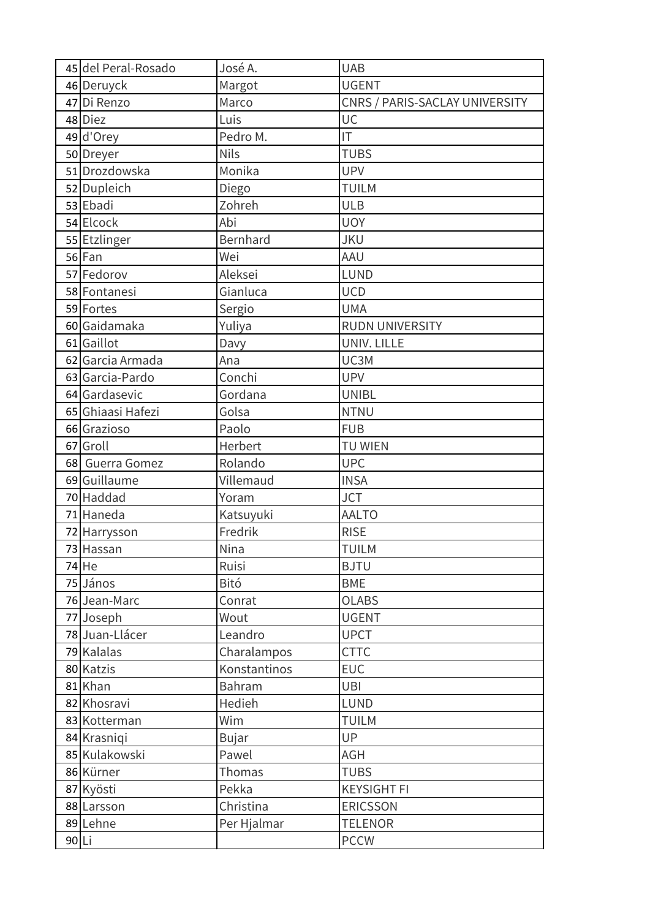|       | 45 del Peral-Rosado | José A.      | <b>UAB</b>                     |
|-------|---------------------|--------------|--------------------------------|
|       | 46 Deruyck          | Margot       | <b>UGENT</b>                   |
|       | 47 Di Renzo         | Marco        | CNRS / PARIS-SACLAY UNIVERSITY |
|       | 48 Diez             | Luis         | UC                             |
|       | 49 d'Orey           | Pedro M.     | IT                             |
|       | 50 Dreyer           | <b>Nils</b>  | <b>TUBS</b>                    |
|       | 51 Drozdowska       | Monika       | <b>UPV</b>                     |
|       | 52 Dupleich         | Diego        | <b>TUILM</b>                   |
|       | 53 Ebadi            | Zohreh       | <b>ULB</b>                     |
|       | 54 Elcock           | Abi          | <b>UOY</b>                     |
|       | 55 Etzlinger        | Bernhard     | <b>JKU</b>                     |
|       | 56 Fan              | Wei          | AAU                            |
|       | 57 Fedorov          | Aleksei      | <b>LUND</b>                    |
|       | 58 Fontanesi        | Gianluca     | <b>UCD</b>                     |
|       | 59 Fortes           | Sergio       | <b>UMA</b>                     |
|       | 60 Gaidamaka        | Yuliya       | <b>RUDN UNIVERSITY</b>         |
|       | 61 Gaillot          | Davy         | UNIV. LILLE                    |
|       | 62 Garcia Armada    | Ana          | UC3M                           |
|       | 63 Garcia-Pardo     | Conchi       | <b>UPV</b>                     |
|       | 64 Gardasevic       | Gordana      | <b>UNIBL</b>                   |
|       | 65 Ghiaasi Hafezi   | Golsa        | <b>NTNU</b>                    |
|       | 66 Grazioso         | Paolo        | <b>FUB</b>                     |
|       | 67 Groll            | Herbert      | TU WIEN                        |
|       | 68 Guerra Gomez     | Rolando      | <b>UPC</b>                     |
|       | 69 Guillaume        | Villemaud    | <b>INSA</b>                    |
|       | 70 Haddad           | Yoram        | <b>JCT</b>                     |
|       | 71 Haneda           | Katsuyuki    | <b>AALTO</b>                   |
|       | 72 Harrysson        | Fredrik      | <b>RISE</b>                    |
|       | 73 Hassan           | Nina         | <b>TUILM</b>                   |
|       | 74 He               | Ruisi        | <b>BJTU</b>                    |
|       | 75 János            | Bitó         | <b>BME</b>                     |
|       | 76 Jean-Marc        | Conrat       | <b>OLABS</b>                   |
|       | 77 Joseph           | Wout         | <b>UGENT</b>                   |
|       | 78 Juan-Llácer      | Leandro      | <b>UPCT</b>                    |
|       | 79 Kalalas          | Charalampos  | <b>CTTC</b>                    |
|       | 80 Katzis           | Konstantinos | <b>EUC</b>                     |
|       | 81 Khan             | Bahram       | <b>UBI</b>                     |
|       | 82 Khosravi         | Hedieh       | <b>LUND</b>                    |
|       | 83 Kotterman        | Wim          | <b>TUILM</b>                   |
|       | 84 Krasniqi         | <b>Bujar</b> | UP                             |
|       | 85 Kulakowski       | Pawel        | AGH                            |
|       | 86 Kürner           | Thomas       | <b>TUBS</b>                    |
|       | 87 Kyösti           | Pekka        | <b>KEYSIGHT FI</b>             |
|       | 88 Larsson          | Christina    | <b>ERICSSON</b>                |
|       | 89 Lehne            | Per Hjalmar  | <b>TELENOR</b>                 |
| 90 Li |                     |              | <b>PCCW</b>                    |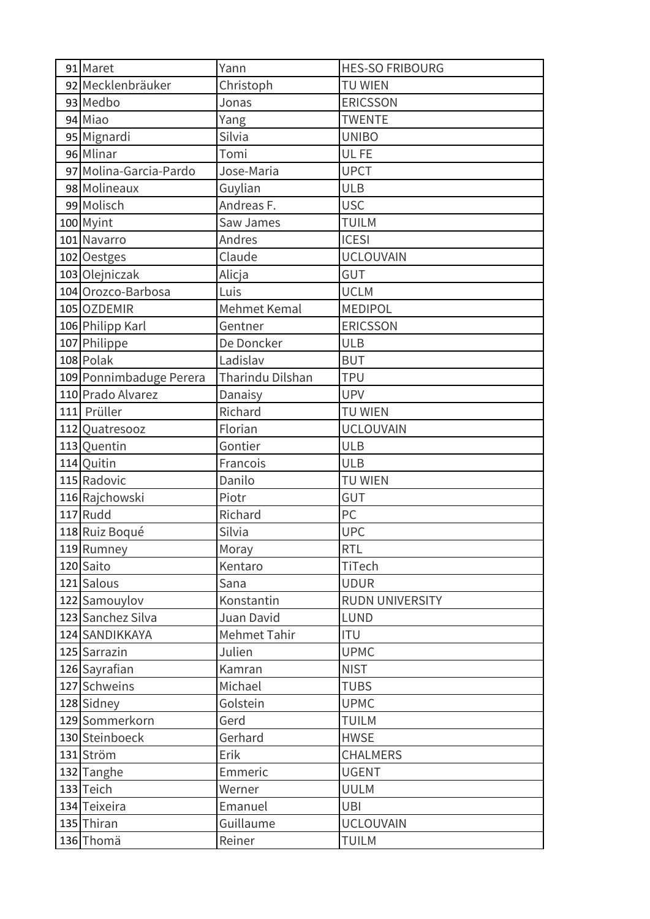| 91 Maret                | Yann             | <b>HES-SO FRIBOURG</b> |
|-------------------------|------------------|------------------------|
| 92 Mecklenbräuker       | Christoph        | <b>TU WIEN</b>         |
| 93 Medbo                | Jonas            | <b>ERICSSON</b>        |
| 94 Miao                 | Yang             | <b>TWENTE</b>          |
| 95 Mignardi             | Silvia           | <b>UNIBO</b>           |
| 96 Mlinar               | Tomi             | UL FE                  |
| 97 Molina-Garcia-Pardo  | Jose-Maria       | <b>UPCT</b>            |
| 98 Molineaux            | Guylian          | <b>ULB</b>             |
| 99 Molisch              | Andreas F.       | <b>USC</b>             |
| 100 Myint               | Saw James        | <b>TUILM</b>           |
| 101 Navarro             | Andres           | <b>ICESI</b>           |
| 102 Oestges             | Claude           | <b>UCLOUVAIN</b>       |
| 103 Olejniczak          | Alicja           | GUT                    |
| 104 Orozco-Barbosa      | Luis             | <b>UCLM</b>            |
| 105 OZDEMIR             | Mehmet Kemal     | <b>MEDIPOL</b>         |
| 106 Philipp Karl        | Gentner          | <b>ERICSSON</b>        |
| 107 Philippe            | De Doncker       | <b>ULB</b>             |
| 108 Polak               | Ladislav         | <b>BUT</b>             |
| 109 Ponnimbaduge Perera | Tharindu Dilshan | <b>TPU</b>             |
| 110 Prado Alvarez       | Danaisy          | <b>UPV</b>             |
| 111 Prüller             | Richard          | <b>TU WIEN</b>         |
| 112 Quatresooz          | Florian          | <b>UCLOUVAIN</b>       |
| 113 Quentin             | Gontier          | <b>ULB</b>             |
| 114 Quitin              | Francois         | <b>ULB</b>             |
| 115 Radovic             | Danilo           | <b>TU WIEN</b>         |
| 116 Rajchowski          | Piotr            | <b>GUT</b>             |
| 117 Rudd                | Richard          | PC                     |
| 118 Ruiz Boqué          | Silvia           | <b>UPC</b>             |
| 119 Rumney              | Moray            | <b>RTL</b>             |
| 120 Saito               | Kentaro          | TiTech                 |
| 121 Salous              | Sana             | <b>UDUR</b>            |
| 122 Samouylov           | Konstantin       | <b>RUDN UNIVERSITY</b> |
| 123 Sanchez Silva       | Juan David       | <b>LUND</b>            |
| 124 SANDIKKAYA          | Mehmet Tahir     | <b>ITU</b>             |
| 125 Sarrazin            | Julien           | <b>UPMC</b>            |
| 126 Sayrafian           | Kamran           | <b>NIST</b>            |
| 127 Schweins            | Michael          | <b>TUBS</b>            |
| 128 Sidney              | Golstein         | <b>UPMC</b>            |
| 129 Sommerkorn          | Gerd             | <b>TUILM</b>           |
| 130 Steinboeck          | Gerhard          | <b>HWSE</b>            |
| 131 Ström               | Erik             | <b>CHALMERS</b>        |
| 132 Tanghe              | Emmeric          | <b>UGENT</b>           |
| 133 Teich               | Werner           | <b>UULM</b>            |
| 134 Teixeira            | Emanuel          | <b>UBI</b>             |
| 135 Thiran              | Guillaume        | <b>UCLOUVAIN</b>       |
| 136 Thomä               | Reiner           | <b>TUILM</b>           |